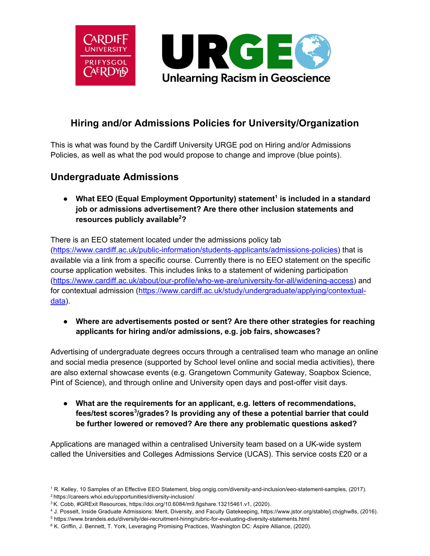

### **Hiring and/or Admissions Policies for University/Organization**

This is what was found by the Cardiff University URGE pod on Hiring and/or Admissions Policies, as well as what the pod would propose to change and improve (blue points).

## **Undergraduate Admissions**

● **What EEO (Equal Employment Opportunity) statement<sup>1</sup> is included in a standard job or admissions advertisement? Are there other inclusion statements and resources publicly available<sup>2</sup> ?**

There is an EEO statement located under the admissions policy tab (https://www.cardiff.ac.uk/public-information/students-applicants/admissions-policies) that is available via a link from a specific course. Currently there is no EEO statement on the specific course application websites. This includes links to a statement of widening participation (https://www.cardiff.ac.uk/about/our-profile/who-we-are/university-for-all/widening-access) and for contextual admission (https://www.cardiff.ac.uk/study/undergraduate/applying/contextualdata).

● **Where are advertisements posted or sent? Are there other strategies for reaching applicants for hiring and/or admissions, e.g. job fairs, showcases?**

Advertising of undergraduate degrees occurs through a centralised team who manage an online and social media presence (supported by School level online and social media activities), there are also external showcase events (e.g. Grangetown Community Gateway, Soapbox Science, Pint of Science), and through online and University open days and post-offer visit days.

● **What are the requirements for an applicant, e.g. letters of recommendations, fees/test scores3 /grades? Is providing any of these a potential barrier that could be further lowered or removed? Are there any problematic questions asked?**

Applications are managed within a centralised University team based on a UK-wide system called the Universities and Colleges Admissions Service (UCAS). This service costs £20 or a

<sup>1</sup> R. Kelley, 10 Samples of an Effective EEO Statement, blog.ongig.com/diversity-and-inclusion/eeo-statement-samples, (2017). 2 https://careers.whoi.edu/opportunities/diversity-inclusion/

<sup>3</sup> K. Cobb, #GRExit Resources, https://doi.org/10.6084/m9.figshare.13215461.v1, (2020).

<sup>&</sup>lt;sup>4</sup> J. Posselt, Inside Graduate Admissions: Merit, Diversity, and Faculty Gatekeeping, https://www.jstor.org/stable/j.ctvjghw8s, (2016).<br><sup>5</sup> https://www.brandeis.edu/diversity/dei-recruitment-hiring/rubric-for-evaluating-d

<sup>&</sup>lt;sup>6</sup> K. Griffin, J. Bennett, T. York, Leveraging Promising Practices, Washington DC: Aspire Alliance, (2020).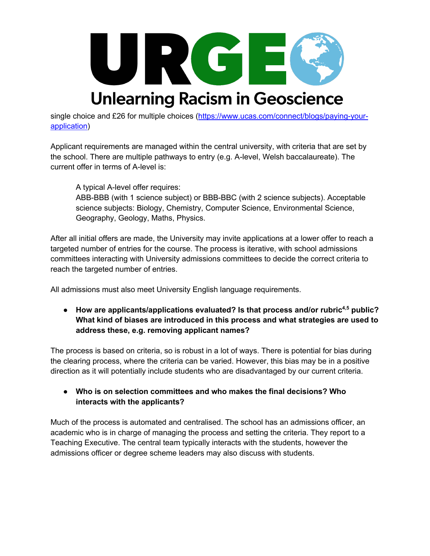

single choice and £26 for multiple choices (https://www.ucas.com/connect/blogs/paying-yourapplication)

Applicant requirements are managed within the central university, with criteria that are set by the school. There are multiple pathways to entry (e.g. A-level, Welsh baccalaureate). The current offer in terms of A-level is:

A typical A-level offer requires:

ABB-BBB (with 1 science subject) or BBB-BBC (with 2 science subjects). Acceptable science subjects: Biology, Chemistry, Computer Science, Environmental Science, Geography, Geology, Maths, Physics.

After all initial offers are made, the University may invite applications at a lower offer to reach a targeted number of entries for the course. The process is iterative, with school admissions committees interacting with University admissions committees to decide the correct criteria to reach the targeted number of entries.

All admissions must also meet University English language requirements.

● **How are applicants/applications evaluated? Is that process and/or rubric4,5 public? What kind of biases are introduced in this process and what strategies are used to address these, e.g. removing applicant names?**

The process is based on criteria, so is robust in a lot of ways. There is potential for bias during the clearing process, where the criteria can be varied. However, this bias may be in a positive direction as it will potentially include students who are disadvantaged by our current criteria.

● **Who is on selection committees and who makes the final decisions? Who interacts with the applicants?**

Much of the process is automated and centralised. The school has an admissions officer, an academic who is in charge of managing the process and setting the criteria. They report to a Teaching Executive. The central team typically interacts with the students, however the admissions officer or degree scheme leaders may also discuss with students.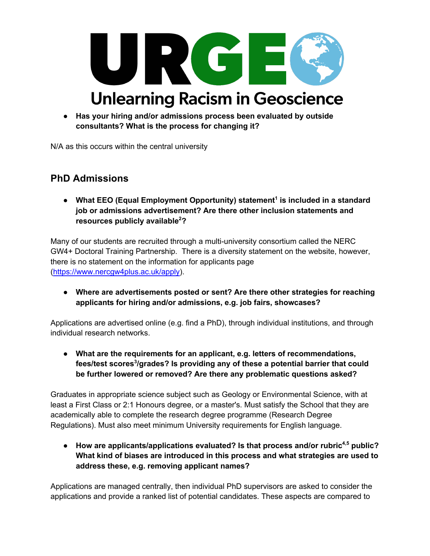

● **Has your hiring and/or admissions process been evaluated by outside consultants? What is the process for changing it?**

N/A as this occurs within the central university

## **PhD Admissions**

● What EEO (Equal Employment Opportunity) statement<sup>1</sup> is included in a standard **job or admissions advertisement? Are there other inclusion statements and resources publicly available<sup>2</sup> ?**

Many of our students are recruited through a multi-university consortium called the NERC GW4+ Doctoral Training Partnership. There is a diversity statement on the website, however, there is no statement on the information for applicants page (https://www.nercgw4plus.ac.uk/apply).

● **Where are advertisements posted or sent? Are there other strategies for reaching applicants for hiring and/or admissions, e.g. job fairs, showcases?**

Applications are advertised online (e.g. find a PhD), through individual institutions, and through individual research networks.

● **What are the requirements for an applicant, e.g. letters of recommendations, fees/test scores<sup>3</sup> /grades? Is providing any of these a potential barrier that could be further lowered or removed? Are there any problematic questions asked?**

Graduates in appropriate science subject such as Geology or Environmental Science, with at least a First Class or 2:1 Honours degree, or a master's. Must satisfy the School that they are academically able to complete the research degree programme (Research Degree Regulations). Must also meet minimum University requirements for English language.

● **How are applicants/applications evaluated? Is that process and/or rubric4,5 public? What kind of biases are introduced in this process and what strategies are used to address these, e.g. removing applicant names?**

Applications are managed centrally, then individual PhD supervisors are asked to consider the applications and provide a ranked list of potential candidates. These aspects are compared to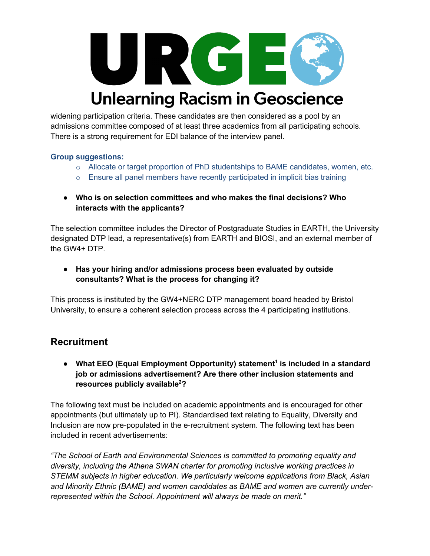

widening participation criteria. These candidates are then considered as a pool by an admissions committee composed of at least three academics from all participating schools. There is a strong requirement for EDI balance of the interview panel.

### **Group suggestions:**

- $\circ$  Allocate or target proportion of PhD studentships to BAME candidates, women, etc.
- $\circ$  Ensure all panel members have recently participated in implicit bias training
- **Who is on selection committees and who makes the final decisions? Who interacts with the applicants?**

The selection committee includes the Director of Postgraduate Studies in EARTH, the University designated DTP lead, a representative(s) from EARTH and BIOSI, and an external member of the GW4+ DTP.

● **Has your hiring and/or admissions process been evaluated by outside consultants? What is the process for changing it?**

This process is instituted by the GW4+NERC DTP management board headed by Bristol University, to ensure a coherent selection process across the 4 participating institutions.

### **Recruitment**

● **What EEO (Equal Employment Opportunity) statement<sup>1</sup> is included in a standard job or admissions advertisement? Are there other inclusion statements and resources publicly available<sup>2</sup> ?**

The following text must be included on academic appointments and is encouraged for other appointments (but ultimately up to PI). Standardised text relating to Equality, Diversity and Inclusion are now pre-populated in the e-recruitment system. The following text has been included in recent advertisements:

*"The School of Earth and Environmental Sciences is committed to promoting equality and diversity, including the Athena SWAN charter for promoting inclusive working practices in STEMM subjects in higher education. We particularly welcome applications from Black, Asian and Minority Ethnic (BAME) and women candidates as BAME and women are currently underrepresented within the School. Appointment will always be made on merit."*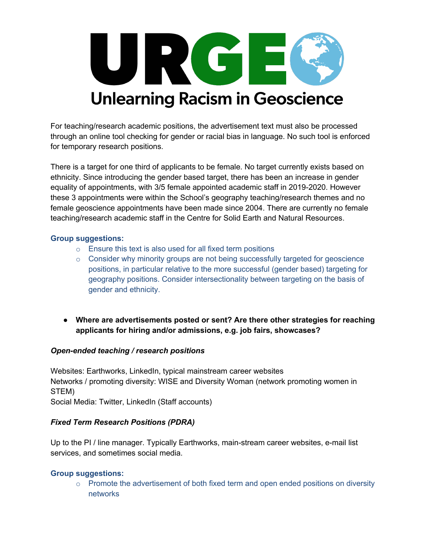

For teaching/research academic positions, the advertisement text must also be processed through an online tool checking for gender or racial bias in language. No such tool is enforced for temporary research positions.

There is a target for one third of applicants to be female. No target currently exists based on ethnicity. Since introducing the gender based target, there has been an increase in gender equality of appointments, with 3/5 female appointed academic staff in 2019-2020. However these 3 appointments were within the School's geography teaching/research themes and no female geoscience appointments have been made since 2004. There are currently no female teaching/research academic staff in the Centre for Solid Earth and Natural Resources.

### **Group suggestions:**

- $\circ$  Ensure this text is also used for all fixed term positions
- $\circ$  Consider why minority groups are not being successfully targeted for geoscience positions, in particular relative to the more successful (gender based) targeting for geography positions. Consider intersectionality between targeting on the basis of gender and ethnicity.
- **Where are advertisements posted or sent? Are there other strategies for reaching applicants for hiring and/or admissions, e.g. job fairs, showcases?**

### *Open-ended teaching / research positions*

Websites: Earthworks, LinkedIn, typical mainstream career websites Networks / promoting diversity: WISE and Diversity Woman (network promoting women in STEM)

Social Media: Twitter, LinkedIn (Staff accounts)

### *Fixed Term Research Positions (PDRA)*

Up to the PI / line manager. Typically Earthworks, main-stream career websites, e-mail list services, and sometimes social media.

### **Group suggestions:**

 $\circ$  Promote the advertisement of both fixed term and open ended positions on diversity networks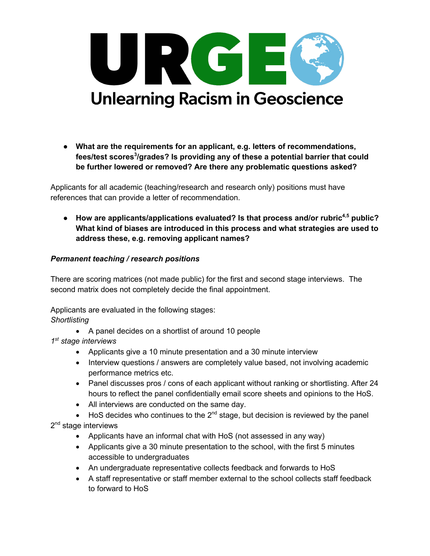

● **What are the requirements for an applicant, e.g. letters of recommendations, fees/test scores<sup>3</sup> /grades? Is providing any of these a potential barrier that could be further lowered or removed? Are there any problematic questions asked?**

Applicants for all academic (teaching/research and research only) positions must have references that can provide a letter of recommendation.

● **How are applicants/applications evaluated? Is that process and/or rubric4,5 public? What kind of biases are introduced in this process and what strategies are used to address these, e.g. removing applicant names?**

### *Permanent teaching / research positions*

There are scoring matrices (not made public) for the first and second stage interviews. The second matrix does not completely decide the final appointment.

Applicants are evaluated in the following stages: *Shortlisting*

• A panel decides on a shortlist of around 10 people

*1st stage interviews*

- Applicants give a 10 minute presentation and a 30 minute interview
- Interview questions / answers are completely value based, not involving academic performance metrics etc.
- Panel discusses pros / cons of each applicant without ranking or shortlisting. After 24 hours to reflect the panel confidentially email score sheets and opinions to the HoS.
- All interviews are conducted on the same day.
- HoS decides who continues to the 2<sup>nd</sup> stage, but decision is reviewed by the panel 2<sup>nd</sup> stage interviews
	- Applicants have an informal chat with HoS (not assessed in any way)
	- Applicants give a 30 minute presentation to the school, with the first 5 minutes accessible to undergraduates
	- An undergraduate representative collects feedback and forwards to HoS
	- A staff representative or staff member external to the school collects staff feedback to forward to HoS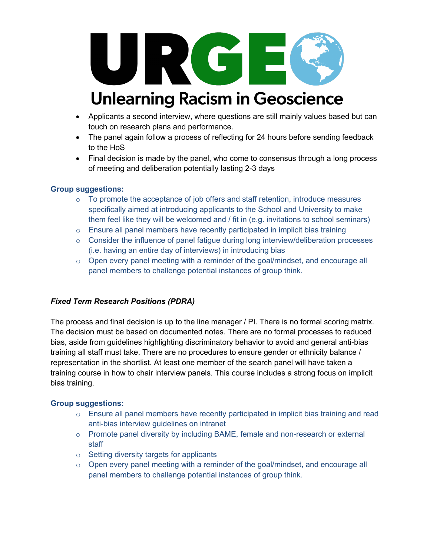

- Applicants a second interview, where questions are still mainly values based but can touch on research plans and performance.
- The panel again follow a process of reflecting for 24 hours before sending feedback to the HoS
- Final decision is made by the panel, who come to consensus through a long process of meeting and deliberation potentially lasting 2-3 days

### **Group suggestions:**

- o To promote the acceptance of job offers and staff retention, introduce measures specifically aimed at introducing applicants to the School and University to make them feel like they will be welcomed and / fit in (e.g. invitations to school seminars)
- $\circ$  Ensure all panel members have recently participated in implicit bias training
- $\circ$  Consider the influence of panel fatigue during long interview/deliberation processes (i.e. having an entire day of interviews) in introducing bias
- $\circ$  Open every panel meeting with a reminder of the goal/mindset, and encourage all panel members to challenge potential instances of group think.

### *Fixed Term Research Positions (PDRA)*

The process and final decision is up to the line manager / PI. There is no formal scoring matrix. The decision must be based on documented notes. There are no formal processes to reduced bias, aside from guidelines highlighting discriminatory behavior to avoid and general anti-bias training all staff must take. There are no procedures to ensure gender or ethnicity balance / representation in the shortlist. At least one member of the search panel will have taken a training course in how to chair interview panels. This course includes a strong focus on implicit bias training.

### **Group suggestions:**

- $\circ$  Ensure all panel members have recently participated in implicit bias training and read anti-bias interview guidelines on intranet
- o Promote panel diversity by including BAME, female and non-research or external staff
- o Setting diversity targets for applicants
- $\circ$  Open every panel meeting with a reminder of the goal/mindset, and encourage all panel members to challenge potential instances of group think.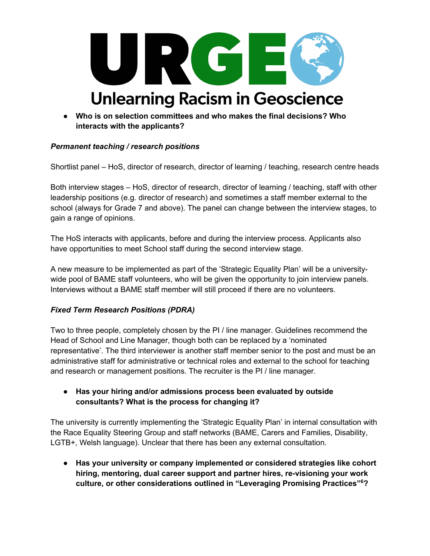

● **Who is on selection committees and who makes the final decisions? Who interacts with the applicants?**

### *Permanent teaching / research positions*

Shortlist panel – HoS, director of research, director of learning / teaching, research centre heads

Both interview stages – HoS, director of research, director of learning / teaching, staff with other leadership positions (e.g. director of research) and sometimes a staff member external to the school (always for Grade 7 and above). The panel can change between the interview stages, to gain a range of opinions.

The HoS interacts with applicants, before and during the interview process. Applicants also have opportunities to meet School staff during the second interview stage.

A new measure to be implemented as part of the 'Strategic Equality Plan' will be a universitywide pool of BAME staff volunteers, who will be given the opportunity to join interview panels. Interviews without a BAME staff member will still proceed if there are no volunteers.

### *Fixed Term Research Positions (PDRA)*

Two to three people, completely chosen by the PI / line manager. Guidelines recommend the Head of School and Line Manager, though both can be replaced by a 'nominated representative'. The third interviewer is another staff member senior to the post and must be an administrative staff for administrative or technical roles and external to the school for teaching and research or management positions. The recruiter is the PI / line manager.

● **Has your hiring and/or admissions process been evaluated by outside consultants? What is the process for changing it?**

The university is currently implementing the 'Strategic Equality Plan' in internal consultation with the Race Equality Steering Group and staff networks (BAME, Carers and Families, Disability, LGTB+, Welsh language). Unclear that there has been any external consultation.

● **Has your university or company implemented or considered strategies like cohort hiring, mentoring, dual career support and partner hires, re-visioning your work culture, or other considerations outlined in "Leveraging Promising Practices"<sup>6</sup> ?**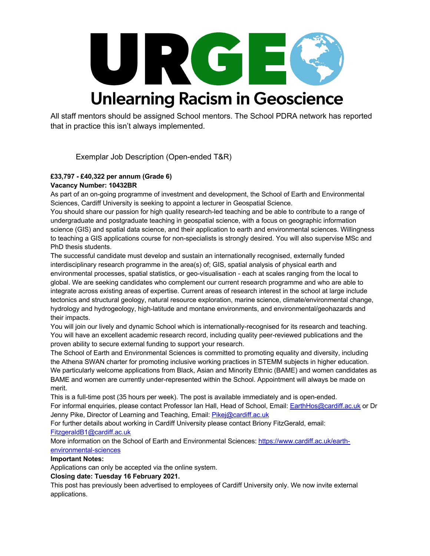

All staff mentors should be assigned School mentors. The School PDRA network has reported that in practice this isn't always implemented.

Exemplar Job Description (Open-ended T&R)

#### **£33,797 - £40,322 per annum (Grade 6) Vacancy Number: 10432BR**

As part of an on-going programme of investment and development, the School of Earth and Environmental Sciences, Cardiff University is seeking to appoint a lecturer in Geospatial Science.

You should share our passion for high quality research-led teaching and be able to contribute to a range of undergraduate and postgraduate teaching in geospatial science, with a focus on geographic information science (GIS) and spatial data science, and their application to earth and environmental sciences. Willingness to teaching a GIS applications course for non-specialists is strongly desired. You will also supervise MSc and PhD thesis students.

The successful candidate must develop and sustain an internationally recognised, externally funded interdisciplinary research programme in the area(s) of; GIS, spatial analysis of physical earth and environmental processes, spatial statistics, or geo-visualisation - each at scales ranging from the local to global. We are seeking candidates who complement our current research programme and who are able to integrate across existing areas of expertise. Current areas of research interest in the school at large include tectonics and structural geology, natural resource exploration, marine science, climate/environmental change, hydrology and hydrogeology, high-latitude and montane environments, and environmental/geohazards and their impacts.

You will join our lively and dynamic School which is internationally-recognised for its research and teaching. You will have an excellent academic research record, including quality peer-reviewed publications and the proven ability to secure external funding to support your research.

The School of Earth and Environmental Sciences is committed to promoting equality and diversity, including the Athena SWAN charter for promoting inclusive working practices in STEMM subjects in higher education. We particularly welcome applications from Black, Asian and Minority Ethnic (BAME) and women candidates as BAME and women are currently under-represented within the School. Appointment will always be made on merit.

This is a full-time post (35 hours per week). The post is available immediately and is open-ended.

For informal enquiries, please contact Professor Ian Hall, Head of School, Email: EarthHos@cardiff.ac.uk or Dr Jenny Pike, Director of Learning and Teaching, Email: Pikej@cardiff.ac.uk

For further details about working in Cardiff University please contact Briony FitzGerald, email: FitzgeraldB1@cardiff.ac.uk

More information on the School of Earth and Environmental Sciences: https://www.cardiff.ac.uk/earthenvironmental-sciences

#### **Important Notes:**

Applications can only be accepted via the online system.

#### **Closing date: Tuesday 16 February 2021.**

This post has previously been advertised to employees of Cardiff University only. We now invite external applications.